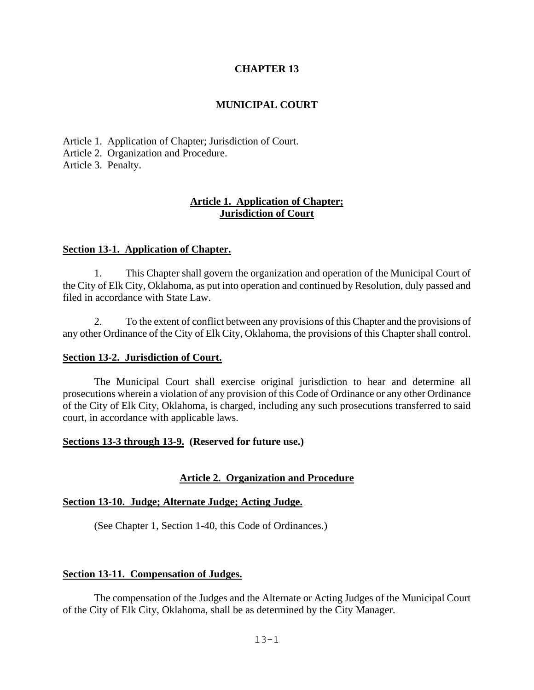### **CHAPTER 13**

### **MUNICIPAL COURT**

Article 1. Application of Chapter; Jurisdiction of Court. Article 2. Organization and Procedure. Article 3. Penalty.

### **Article 1. Application of Chapter; Jurisdiction of Court**

### **Section 13-1. Application of Chapter.**

1. This Chapter shall govern the organization and operation of the Municipal Court of the City of Elk City, Oklahoma, as put into operation and continued by Resolution, duly passed and filed in accordance with State Law.

2. To the extent of conflict between any provisions of this Chapter and the provisions of any other Ordinance of the City of Elk City, Oklahoma, the provisions of this Chapter shall control.

#### **Section 13-2. Jurisdiction of Court.**

The Municipal Court shall exercise original jurisdiction to hear and determine all prosecutions wherein a violation of any provision of this Code of Ordinance or any other Ordinance of the City of Elk City, Oklahoma, is charged, including any such prosecutions transferred to said court, in accordance with applicable laws.

#### **Sections 13-3 through 13-9. (Reserved for future use.)**

### **Article 2. Organization and Procedure**

### **Section 13-10. Judge; Alternate Judge; Acting Judge.**

(See Chapter 1, Section 1-40, this Code of Ordinances.)

### **Section 13-11. Compensation of Judges.**

The compensation of the Judges and the Alternate or Acting Judges of the Municipal Court of the City of Elk City, Oklahoma, shall be as determined by the City Manager.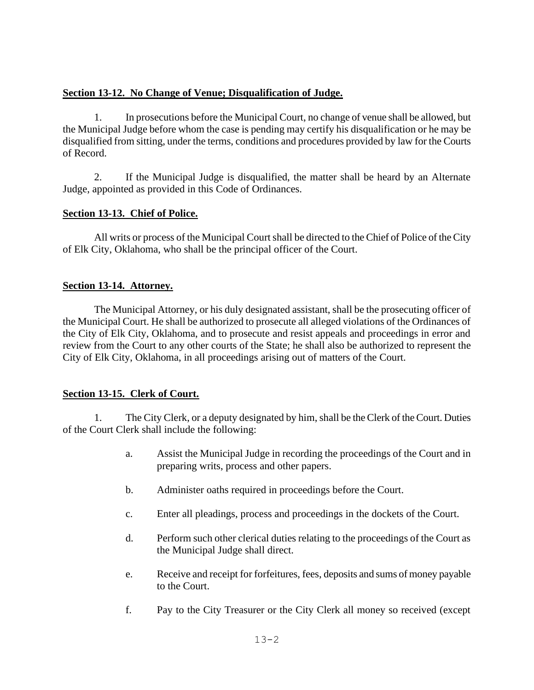### **Section 13-12. No Change of Venue; Disqualification of Judge.**

1. In prosecutions before the Municipal Court, no change of venue shall be allowed, but the Municipal Judge before whom the case is pending may certify his disqualification or he may be disqualified from sitting, under the terms, conditions and procedures provided by law for the Courts of Record.

2. If the Municipal Judge is disqualified, the matter shall be heard by an Alternate Judge, appointed as provided in this Code of Ordinances.

## **Section 13-13. Chief of Police.**

All writs or process of the Municipal Court shall be directed to the Chief of Police of the City of Elk City, Oklahoma, who shall be the principal officer of the Court.

## **Section 13-14. Attorney.**

The Municipal Attorney, or his duly designated assistant, shall be the prosecuting officer of the Municipal Court. He shall be authorized to prosecute all alleged violations of the Ordinances of the City of Elk City, Oklahoma, and to prosecute and resist appeals and proceedings in error and review from the Court to any other courts of the State; he shall also be authorized to represent the City of Elk City, Oklahoma, in all proceedings arising out of matters of the Court.

### **Section 13-15. Clerk of Court.**

1. The City Clerk, or a deputy designated by him, shall be the Clerk of the Court. Duties of the Court Clerk shall include the following:

- a. Assist the Municipal Judge in recording the proceedings of the Court and in preparing writs, process and other papers.
- b. Administer oaths required in proceedings before the Court.
- c. Enter all pleadings, process and proceedings in the dockets of the Court.
- d. Perform such other clerical duties relating to the proceedings of the Court as the Municipal Judge shall direct.
- e. Receive and receipt for forfeitures, fees, deposits and sums of money payable to the Court.
- f. Pay to the City Treasurer or the City Clerk all money so received (except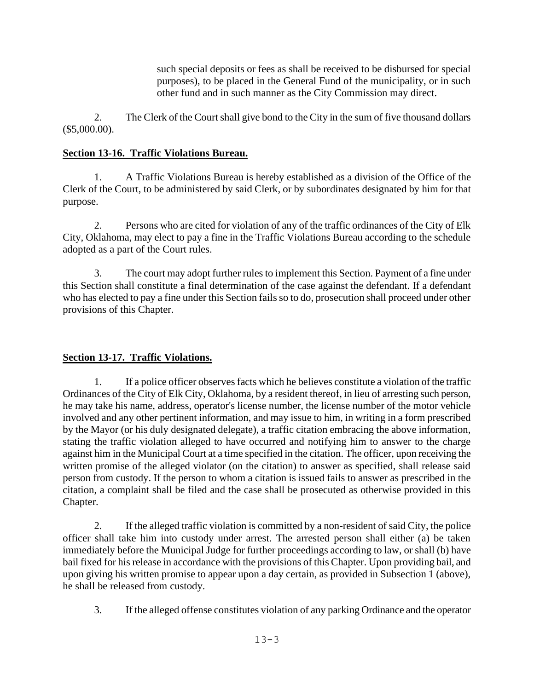such special deposits or fees as shall be received to be disbursed for special purposes), to be placed in the General Fund of the municipality, or in such other fund and in such manner as the City Commission may direct.

2. The Clerk of the Court shall give bond to the City in the sum of five thousand dollars (\$5,000.00).

## **Section 13-16. Traffic Violations Bureau.**

1. A Traffic Violations Bureau is hereby established as a division of the Office of the Clerk of the Court, to be administered by said Clerk, or by subordinates designated by him for that purpose.

2. Persons who are cited for violation of any of the traffic ordinances of the City of Elk City, Oklahoma, may elect to pay a fine in the Traffic Violations Bureau according to the schedule adopted as a part of the Court rules.

3. The court may adopt further rules to implement this Section. Payment of a fine under this Section shall constitute a final determination of the case against the defendant. If a defendant who has elected to pay a fine under this Section fails so to do, prosecution shall proceed under other provisions of this Chapter.

# **Section 13-17. Traffic Violations.**

1. If a police officer observes facts which he believes constitute a violation of the traffic Ordinances of the City of Elk City, Oklahoma, by a resident thereof, in lieu of arresting such person, he may take his name, address, operator's license number, the license number of the motor vehicle involved and any other pertinent information, and may issue to him, in writing in a form prescribed by the Mayor (or his duly designated delegate), a traffic citation embracing the above information, stating the traffic violation alleged to have occurred and notifying him to answer to the charge against him in the Municipal Court at a time specified in the citation. The officer, upon receiving the written promise of the alleged violator (on the citation) to answer as specified, shall release said person from custody. If the person to whom a citation is issued fails to answer as prescribed in the citation, a complaint shall be filed and the case shall be prosecuted as otherwise provided in this Chapter.

2. If the alleged traffic violation is committed by a non-resident of said City, the police officer shall take him into custody under arrest. The arrested person shall either (a) be taken immediately before the Municipal Judge for further proceedings according to law, or shall (b) have bail fixed for his release in accordance with the provisions of this Chapter. Upon providing bail, and upon giving his written promise to appear upon a day certain, as provided in Subsection 1 (above), he shall be released from custody.

3. If the alleged offense constitutes violation of any parking Ordinance and the operator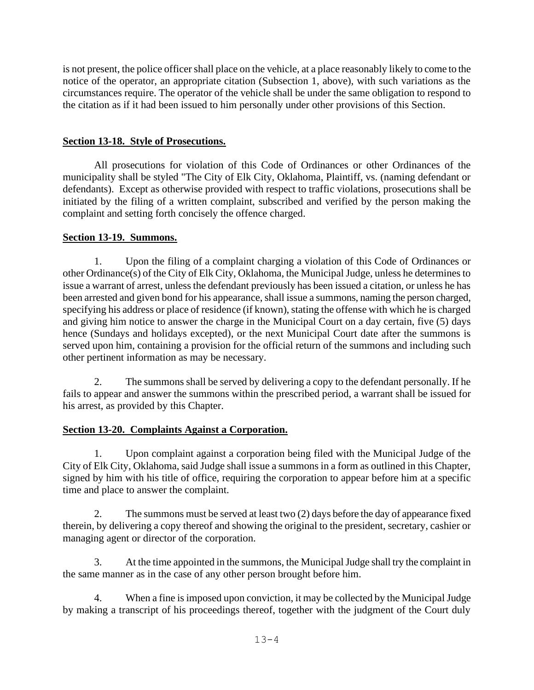is not present, the police officer shall place on the vehicle, at a place reasonably likely to come to the notice of the operator, an appropriate citation (Subsection 1, above), with such variations as the circumstances require. The operator of the vehicle shall be under the same obligation to respond to the citation as if it had been issued to him personally under other provisions of this Section.

## **Section 13-18. Style of Prosecutions.**

All prosecutions for violation of this Code of Ordinances or other Ordinances of the municipality shall be styled "The City of Elk City, Oklahoma, Plaintiff, vs. (naming defendant or defendants). Except as otherwise provided with respect to traffic violations, prosecutions shall be initiated by the filing of a written complaint, subscribed and verified by the person making the complaint and setting forth concisely the offence charged.

## **Section 13-19. Summons.**

1. Upon the filing of a complaint charging a violation of this Code of Ordinances or other Ordinance(s) of the City of Elk City, Oklahoma, the Municipal Judge, unless he determines to issue a warrant of arrest, unless the defendant previously has been issued a citation, or unless he has been arrested and given bond for his appearance, shall issue a summons, naming the person charged, specifying his address or place of residence (if known), stating the offense with which he is charged and giving him notice to answer the charge in the Municipal Court on a day certain, five (5) days hence (Sundays and holidays excepted), or the next Municipal Court date after the summons is served upon him, containing a provision for the official return of the summons and including such other pertinent information as may be necessary.

2. The summons shall be served by delivering a copy to the defendant personally. If he fails to appear and answer the summons within the prescribed period, a warrant shall be issued for his arrest, as provided by this Chapter.

# **Section 13-20. Complaints Against a Corporation.**

1. Upon complaint against a corporation being filed with the Municipal Judge of the City of Elk City, Oklahoma, said Judge shall issue a summons in a form as outlined in this Chapter, signed by him with his title of office, requiring the corporation to appear before him at a specific time and place to answer the complaint.

2. The summons must be served at least two (2) days before the day of appearance fixed therein, by delivering a copy thereof and showing the original to the president, secretary, cashier or managing agent or director of the corporation.

3. At the time appointed in the summons, the Municipal Judge shall try the complaint in the same manner as in the case of any other person brought before him.

4. When a fine is imposed upon conviction, it may be collected by the Municipal Judge by making a transcript of his proceedings thereof, together with the judgment of the Court duly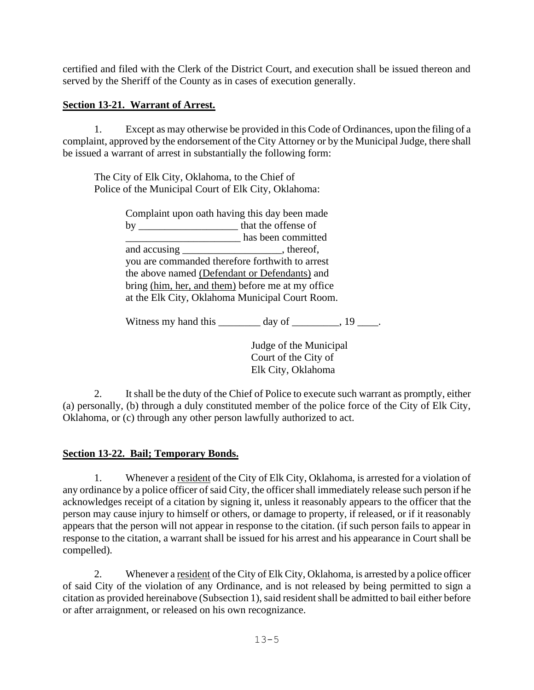certified and filed with the Clerk of the District Court, and execution shall be issued thereon and served by the Sheriff of the County as in cases of execution generally.

## **Section 13-21. Warrant of Arrest.**

1. Except as may otherwise be provided in this Code of Ordinances, upon the filing of a complaint, approved by the endorsement of the City Attorney or by the Municipal Judge, there shall be issued a warrant of arrest in substantially the following form:

The City of Elk City, Oklahoma, to the Chief of Police of the Municipal Court of Elk City, Oklahoma:

> Complaint upon oath having this day been made by \_\_\_\_\_\_\_\_\_\_\_\_\_\_\_\_\_\_\_ that the offense of \_\_\_\_\_\_\_\_\_\_\_\_\_\_\_\_\_\_\_\_\_\_ has been committed and accusing the state of the state of  $\alpha$ , thereof, you are commanded therefore forthwith to arrest the above named (Defendant or Defendants) and bring (him, her, and them) before me at my office at the Elk City, Oklahoma Municipal Court Room.

Witness my hand this  $\qquad \qquad \text{day of} \qquad \qquad 19$  .

Judge of the Municipal Court of the City of Elk City, Oklahoma

2. It shall be the duty of the Chief of Police to execute such warrant as promptly, either (a) personally, (b) through a duly constituted member of the police force of the City of Elk City, Oklahoma, or (c) through any other person lawfully authorized to act.

### **Section 13-22. Bail; Temporary Bonds.**

1. Whenever a resident of the City of Elk City, Oklahoma, is arrested for a violation of any ordinance by a police officer of said City, the officer shall immediately release such person if he acknowledges receipt of a citation by signing it, unless it reasonably appears to the officer that the person may cause injury to himself or others, or damage to property, if released, or if it reasonably appears that the person will not appear in response to the citation. (if such person fails to appear in response to the citation, a warrant shall be issued for his arrest and his appearance in Court shall be compelled).

2. Whenever a resident of the City of Elk City, Oklahoma, is arrested by a police officer of said City of the violation of any Ordinance, and is not released by being permitted to sign a citation as provided hereinabove (Subsection 1), said resident shall be admitted to bail either before or after arraignment, or released on his own recognizance.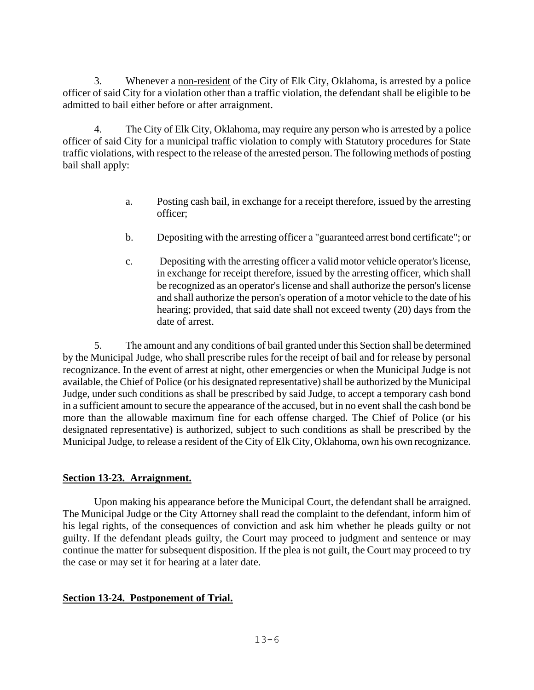3. Whenever a non-resident of the City of Elk City, Oklahoma, is arrested by a police officer of said City for a violation other than a traffic violation, the defendant shall be eligible to be admitted to bail either before or after arraignment.

4. The City of Elk City, Oklahoma, may require any person who is arrested by a police officer of said City for a municipal traffic violation to comply with Statutory procedures for State traffic violations, with respect to the release of the arrested person. The following methods of posting bail shall apply:

- a. Posting cash bail, in exchange for a receipt therefore, issued by the arresting officer;
- b. Depositing with the arresting officer a "guaranteed arrest bond certificate"; or
- c. Depositing with the arresting officer a valid motor vehicle operator's license, in exchange for receipt therefore, issued by the arresting officer, which shall be recognized as an operator's license and shall authorize the person's license and shall authorize the person's operation of a motor vehicle to the date of his hearing; provided, that said date shall not exceed twenty (20) days from the date of arrest.

5. The amount and any conditions of bail granted under this Section shall be determined by the Municipal Judge, who shall prescribe rules for the receipt of bail and for release by personal recognizance. In the event of arrest at night, other emergencies or when the Municipal Judge is not available, the Chief of Police (or his designated representative) shall be authorized by the Municipal Judge, under such conditions as shall be prescribed by said Judge, to accept a temporary cash bond in a sufficient amount to secure the appearance of the accused, but in no event shall the cash bond be more than the allowable maximum fine for each offense charged. The Chief of Police (or his designated representative) is authorized, subject to such conditions as shall be prescribed by the Municipal Judge, to release a resident of the City of Elk City, Oklahoma, own his own recognizance.

### **Section 13-23. Arraignment.**

Upon making his appearance before the Municipal Court, the defendant shall be arraigned. The Municipal Judge or the City Attorney shall read the complaint to the defendant, inform him of his legal rights, of the consequences of conviction and ask him whether he pleads guilty or not guilty. If the defendant pleads guilty, the Court may proceed to judgment and sentence or may continue the matter for subsequent disposition. If the plea is not guilt, the Court may proceed to try the case or may set it for hearing at a later date.

# **Section 13-24. Postponement of Trial.**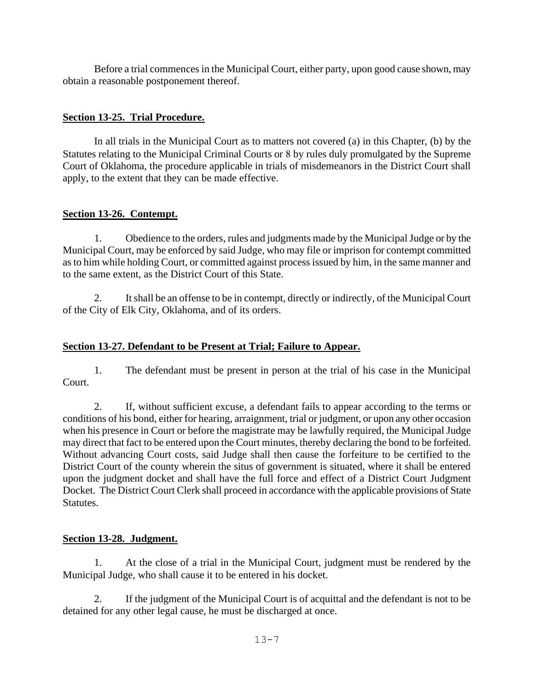Before a trial commences in the Municipal Court, either party, upon good cause shown, may obtain a reasonable postponement thereof.

## **Section 13-25. Trial Procedure.**

In all trials in the Municipal Court as to matters not covered (a) in this Chapter, (b) by the Statutes relating to the Municipal Criminal Courts or 8 by rules duly promulgated by the Supreme Court of Oklahoma, the procedure applicable in trials of misdemeanors in the District Court shall apply, to the extent that they can be made effective.

## **Section 13-26. Contempt.**

1. Obedience to the orders, rules and judgments made by the Municipal Judge or by the Municipal Court, may be enforced by said Judge, who may file or imprison for contempt committed as to him while holding Court, or committed against process issued by him, in the same manner and to the same extent, as the District Court of this State.

2. It shall be an offense to be in contempt, directly or indirectly, of the Municipal Court of the City of Elk City, Oklahoma, and of its orders.

# **Section 13-27. Defendant to be Present at Trial; Failure to Appear.**

1. The defendant must be present in person at the trial of his case in the Municipal Court.

2. If, without sufficient excuse, a defendant fails to appear according to the terms or conditions of his bond, either for hearing, arraignment, trial or judgment, or upon any other occasion when his presence in Court or before the magistrate may be lawfully required, the Municipal Judge may direct that fact to be entered upon the Court minutes, thereby declaring the bond to be forfeited. Without advancing Court costs, said Judge shall then cause the forfeiture to be certified to the District Court of the county wherein the situs of government is situated, where it shall be entered upon the judgment docket and shall have the full force and effect of a District Court Judgment Docket. The District Court Clerk shall proceed in accordance with the applicable provisions of State **Statutes**.

# **Section 13-28. Judgment.**

1. At the close of a trial in the Municipal Court, judgment must be rendered by the Municipal Judge, who shall cause it to be entered in his docket.

2. If the judgment of the Municipal Court is of acquittal and the defendant is not to be detained for any other legal cause, he must be discharged at once.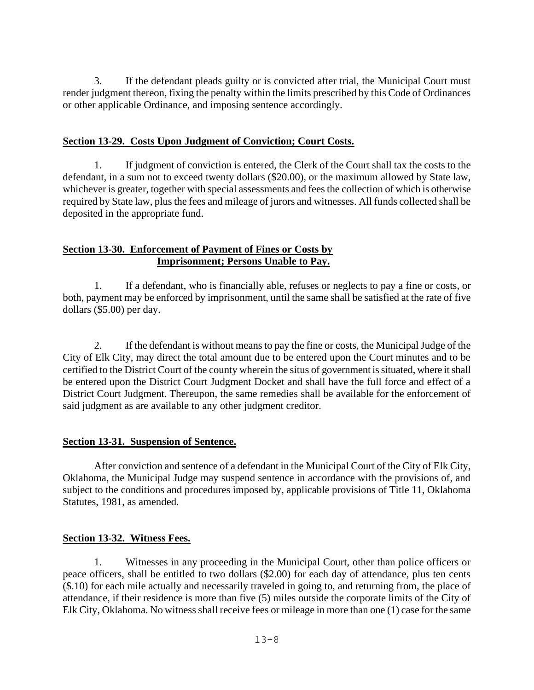3. If the defendant pleads guilty or is convicted after trial, the Municipal Court must render judgment thereon, fixing the penalty within the limits prescribed by this Code of Ordinances or other applicable Ordinance, and imposing sentence accordingly.

### **Section 13-29. Costs Upon Judgment of Conviction; Court Costs.**

1. If judgment of conviction is entered, the Clerk of the Court shall tax the costs to the defendant, in a sum not to exceed twenty dollars (\$20.00), or the maximum allowed by State law, whichever is greater, together with special assessments and fees the collection of which is otherwise required by State law, plus the fees and mileage of jurors and witnesses. All funds collected shall be deposited in the appropriate fund.

### **Section 13-30. Enforcement of Payment of Fines or Costs by Imprisonment; Persons Unable to Pay.**

1. If a defendant, who is financially able, refuses or neglects to pay a fine or costs, or both, payment may be enforced by imprisonment, until the same shall be satisfied at the rate of five dollars (\$5.00) per day.

2. If the defendant is without means to pay the fine or costs, the Municipal Judge of the City of Elk City, may direct the total amount due to be entered upon the Court minutes and to be certified to the District Court of the county wherein the situs of government is situated, where it shall be entered upon the District Court Judgment Docket and shall have the full force and effect of a District Court Judgment. Thereupon, the same remedies shall be available for the enforcement of said judgment as are available to any other judgment creditor.

# **Section 13-31. Suspension of Sentence.**

After conviction and sentence of a defendant in the Municipal Court of the City of Elk City, Oklahoma, the Municipal Judge may suspend sentence in accordance with the provisions of, and subject to the conditions and procedures imposed by, applicable provisions of Title 11, Oklahoma Statutes, 1981, as amended.

### **Section 13-32. Witness Fees.**

1. Witnesses in any proceeding in the Municipal Court, other than police officers or peace officers, shall be entitled to two dollars (\$2.00) for each day of attendance, plus ten cents (\$.10) for each mile actually and necessarily traveled in going to, and returning from, the place of attendance, if their residence is more than five (5) miles outside the corporate limits of the City of Elk City, Oklahoma. No witness shall receive fees or mileage in more than one (1) case for the same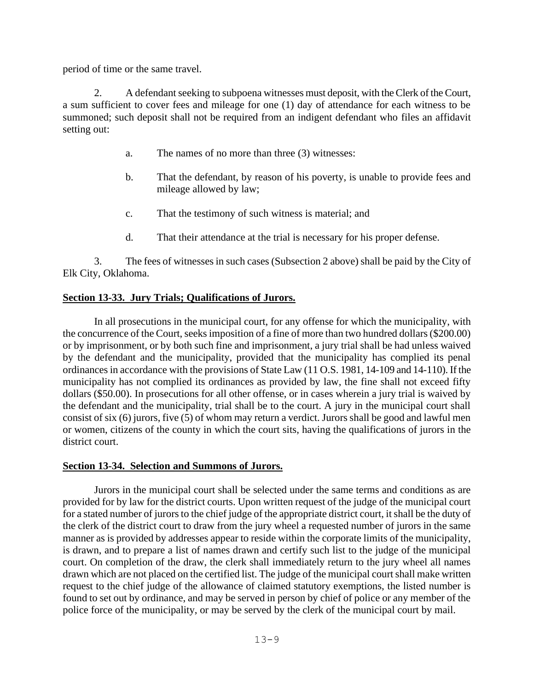period of time or the same travel.

2. A defendant seeking to subpoena witnesses must deposit, with the Clerk of the Court, a sum sufficient to cover fees and mileage for one (1) day of attendance for each witness to be summoned; such deposit shall not be required from an indigent defendant who files an affidavit setting out:

- a. The names of no more than three (3) witnesses:
- b. That the defendant, by reason of his poverty, is unable to provide fees and mileage allowed by law;
- c. That the testimony of such witness is material; and
- d. That their attendance at the trial is necessary for his proper defense.

3. The fees of witnesses in such cases (Subsection 2 above) shall be paid by the City of Elk City, Oklahoma.

#### **Section 13-33. Jury Trials; Qualifications of Jurors.**

In all prosecutions in the municipal court, for any offense for which the municipality, with the concurrence of the Court, seeks imposition of a fine of more than two hundred dollars (\$200.00) or by imprisonment, or by both such fine and imprisonment, a jury trial shall be had unless waived by the defendant and the municipality, provided that the municipality has complied its penal ordinances in accordance with the provisions of State Law (11 O.S. 1981, 14-109 and 14-110). If the municipality has not complied its ordinances as provided by law, the fine shall not exceed fifty dollars (\$50.00). In prosecutions for all other offense, or in cases wherein a jury trial is waived by the defendant and the municipality, trial shall be to the court. A jury in the municipal court shall consist of six (6) jurors, five (5) of whom may return a verdict. Jurors shall be good and lawful men or women, citizens of the county in which the court sits, having the qualifications of jurors in the district court.

#### **Section 13-34. Selection and Summons of Jurors.**

Jurors in the municipal court shall be selected under the same terms and conditions as are provided for by law for the district courts. Upon written request of the judge of the municipal court for a stated number of jurors to the chief judge of the appropriate district court, it shall be the duty of the clerk of the district court to draw from the jury wheel a requested number of jurors in the same manner as is provided by addresses appear to reside within the corporate limits of the municipality, is drawn, and to prepare a list of names drawn and certify such list to the judge of the municipal court. On completion of the draw, the clerk shall immediately return to the jury wheel all names drawn which are not placed on the certified list. The judge of the municipal court shall make written request to the chief judge of the allowance of claimed statutory exemptions, the listed number is found to set out by ordinance, and may be served in person by chief of police or any member of the police force of the municipality, or may be served by the clerk of the municipal court by mail.